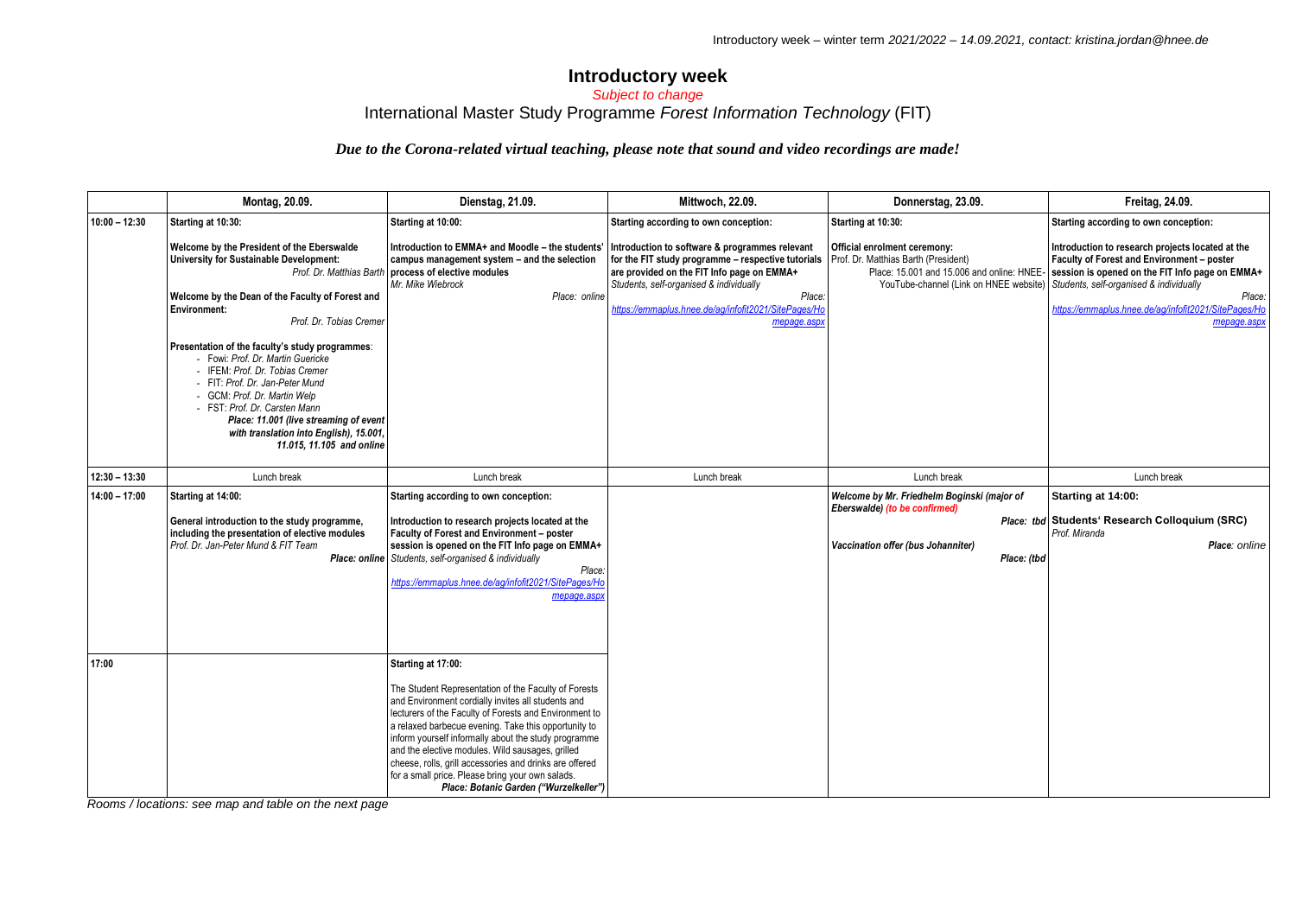## **Introductory week**

*Subject to change*

International Master Study Programme *Forest Information Technology* (FIT)

*Due to the Corona-related virtual teaching, please note that sound and video recordings are made!*

|                 | Montag, 20.09.                                                                                                                                                                                                                                                                                                                                                                                                                                                                                                                                              | Dienstag, 21.09.                                                                                                                                                                                                                                                                                                                                                                                                                                                                                                        | Mittwoch. 22.09.                                                                                                                                                                                                                                                                                             | Donnerstag, 23.09.                                                                                                                                                                | Freitag, 24.09.                                                                                                                                                                                                                                                             |
|-----------------|-------------------------------------------------------------------------------------------------------------------------------------------------------------------------------------------------------------------------------------------------------------------------------------------------------------------------------------------------------------------------------------------------------------------------------------------------------------------------------------------------------------------------------------------------------------|-------------------------------------------------------------------------------------------------------------------------------------------------------------------------------------------------------------------------------------------------------------------------------------------------------------------------------------------------------------------------------------------------------------------------------------------------------------------------------------------------------------------------|--------------------------------------------------------------------------------------------------------------------------------------------------------------------------------------------------------------------------------------------------------------------------------------------------------------|-----------------------------------------------------------------------------------------------------------------------------------------------------------------------------------|-----------------------------------------------------------------------------------------------------------------------------------------------------------------------------------------------------------------------------------------------------------------------------|
| $10:00 - 12:30$ | Starting at 10:30:<br>Welcome by the President of the Eberswalde<br>University for Sustainable Development:<br>Welcome by the Dean of the Faculty of Forest and<br>Environment:<br>Prof. Dr. Tobias Cremer<br>Presentation of the faculty's study programmes:<br>- Fowi: Prof. Dr. Martin Guericke<br>- IFEM: Prof. Dr. Tobias Cremer<br>- FIT: Prof. Dr. Jan-Peter Mund<br>- GCM: Prof. Dr. Martin Welp<br>- FST: Prof. Dr. Carsten Mann<br>Place: 11.001 (live streaming of event<br>with translation into English), 15.001,<br>11.015, 11.105 and online | Starting at 10:00:<br>Introduction to EMMA+ and Moodle – the students'   Introduction to software & programmes relevant<br>campus management system - and the selection<br>Prof. Dr. Matthias Barth   process of elective modules<br>Mr. Mike Wiebrock<br>Place: online                                                                                                                                                                                                                                                 | Starting according to own conception:<br>for the FIT study programme - respective tutorials   Prof. Dr. Matthias Barth (President)<br>are provided on the FIT Info page on EMMA+<br>Students, self-organised & individually<br>Place:<br>https://emmaplus.hnee.de/aq/infofit2021/SitePages/Ho<br>mepage.asp) | Starting at 10:30:<br>Official enrolment ceremony:<br>Place: 15.001 and 15.006 and online: HNEE<br>YouTube-channel (Link on HNEE website) Students, self-organised & individually | Starting according to own conception:<br>Introduction to research projects located at the<br>Faculty of Forest and Environment - poster<br>session is opened on the FIT Info page on EMMA+<br>Place:<br>https://emmaplus.hnee.de/ag/infofit2021/SitePages/Ho<br>mepage.asp) |
| $12:30 - 13:30$ | Lunch break                                                                                                                                                                                                                                                                                                                                                                                                                                                                                                                                                 | Lunch break                                                                                                                                                                                                                                                                                                                                                                                                                                                                                                             | Lunch break                                                                                                                                                                                                                                                                                                  | Lunch break                                                                                                                                                                       | Lunch break                                                                                                                                                                                                                                                                 |
| $14:00 - 17:00$ | Starting at 14:00:<br>General introduction to the study programme,<br>including the presentation of elective modules<br>Prof. Dr. Jan-Peter Mund & FIT Team                                                                                                                                                                                                                                                                                                                                                                                                 | Starting according to own conception:<br>Introduction to research projects located at the<br>Faculty of Forest and Environment - poster<br>session is opened on the FIT Info page on EMMA+<br><b>Place: online</b> Students, self-organised & individually<br>Place:<br>https://emmaplus.hnee.de/aq/infofit2021/SitePages/Ho<br>mepage.asp                                                                                                                                                                              |                                                                                                                                                                                                                                                                                                              | Welcome by Mr. Friedhelm Boginski (major of<br>Eberswalde) (to be confirmed)<br>Vaccination offer (bus Johanniter)<br>Place: (tbd                                                 | Starting at 14:00:<br>Place: tbd Students' Research Colloquium (SRC)<br>Prof. Miranda<br>Place: online                                                                                                                                                                      |
| 17:00           |                                                                                                                                                                                                                                                                                                                                                                                                                                                                                                                                                             | Starting at 17:00:<br>The Student Representation of the Faculty of Forests<br>and Environment cordially invites all students and<br>lecturers of the Faculty of Forests and Environment to<br>a relaxed barbecue evening. Take this opportunity to<br>inform yourself informally about the study programme<br>and the elective modules. Wild sausages, grilled<br>cheese, rolls, grill accessories and drinks are offered<br>for a small price. Please bring your own salads.<br>Place: Botanic Garden ("Wurzelkeller") |                                                                                                                                                                                                                                                                                                              |                                                                                                                                                                                   |                                                                                                                                                                                                                                                                             |

*Rooms / locations: see map and table on the next page*